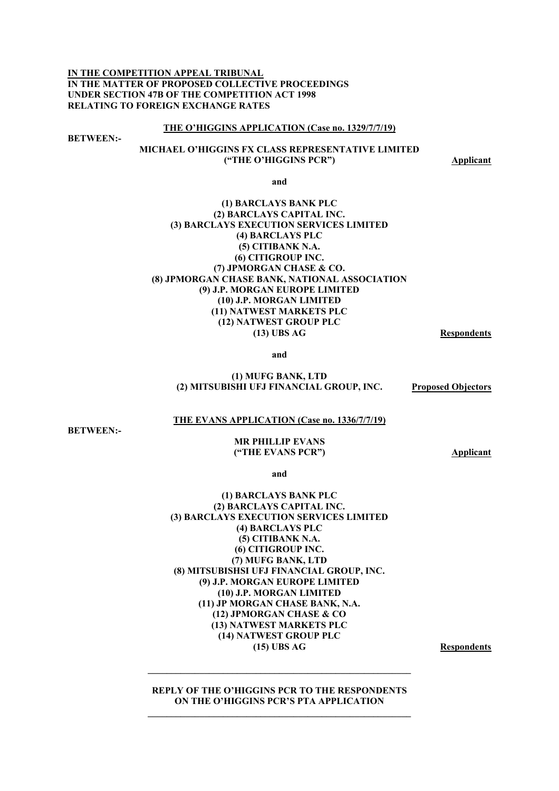**IN THE COMPETITION APPEAL TRIBUNAL IN THE MATTER OF PROPOSED COLLECTIVE PROCEEDINGS UNDER SECTION 47B OF THE COMPETITION ACT 1998 RELATING TO FOREIGN EXCHANGE RATES** 

#### **THE O'HIGGINS APPLICATION (Case no. 1329/7/7/19)**

**BETWEEN:-** 

## **MICHAEL O'HIGGINS FX CLASS REPRESENTATIVE LIMITED ("THE O'HIGGINS PCR") Applicant**

**and** 

### **(1) BARCLAYS BANK PLC (2) BARCLAYS CAPITAL INC. (3) BARCLAYS EXECUTION SERVICES LIMITED (4) BARCLAYS PLC (5) CITIBANK N.A. (6) CITIGROUP INC. (7) JPMORGAN CHASE & CO. (8) JPMORGAN CHASE BANK, NATIONAL ASSOCIATION (9) J.P. MORGAN EUROPE LIMITED (10) J.P. MORGAN LIMITED (11) NATWEST MARKETS PLC (12) NATWEST GROUP PLC (13) UBS AG Respondents**

**and** 

#### **(1) MUFG BANK, LTD (2) MITSUBISHI UFJ FINANCIAL GROUP, INC. Proposed Objectors**

### **THE EVANS APPLICATION (Case no. 1336/7/7/19)**

**BETWEEN:-** 

#### **MR PHILLIP EVANS ("THE EVANS PCR") Applicant**

**and** 

### **(1) BARCLAYS BANK PLC (2) BARCLAYS CAPITAL INC. (3) BARCLAYS EXECUTION SERVICES LIMITED (4) BARCLAYS PLC (5) CITIBANK N.A. (6) CITIGROUP INC. (7) MUFG BANK, LTD (8) MITSUBISHSI UFJ FINANCIAL GROUP, INC. (9) J.P. MORGAN EUROPE LIMITED (10) J.P. MORGAN LIMITED (11) JP MORGAN CHASE BANK, N.A. (12) JPMORGAN CHASE & CO (13) NATWEST MARKETS PLC (14) NATWEST GROUP PLC (15) UBS AG Respondents**

**REPLY OF THE O'HIGGINS PCR TO THE RESPONDENTS ON THE O'HIGGINS PCR'S PTA APPLICATION**   $\mathcal{L} = \{ \mathcal{L} \mathcal{L} \mathcal{L} \mathcal{L} \mathcal{L} \mathcal{L} \mathcal{L} \mathcal{L} \mathcal{L} \mathcal{L} \mathcal{L} \mathcal{L} \mathcal{L} \mathcal{L} \mathcal{L} \mathcal{L} \mathcal{L} \mathcal{L} \mathcal{L} \mathcal{L} \mathcal{L} \mathcal{L} \mathcal{L} \mathcal{L} \mathcal{L} \mathcal{L} \mathcal{L} \mathcal{L} \mathcal{L} \mathcal{L} \mathcal{L} \mathcal{L} \mathcal{L} \mathcal{L} \mathcal{L} \$ 

**\_\_\_\_\_\_\_\_\_\_\_\_\_\_\_\_\_\_\_\_\_\_\_\_\_\_\_\_\_\_\_\_\_\_\_\_\_\_\_\_\_\_\_\_\_\_\_\_\_\_\_\_\_\_\_\_**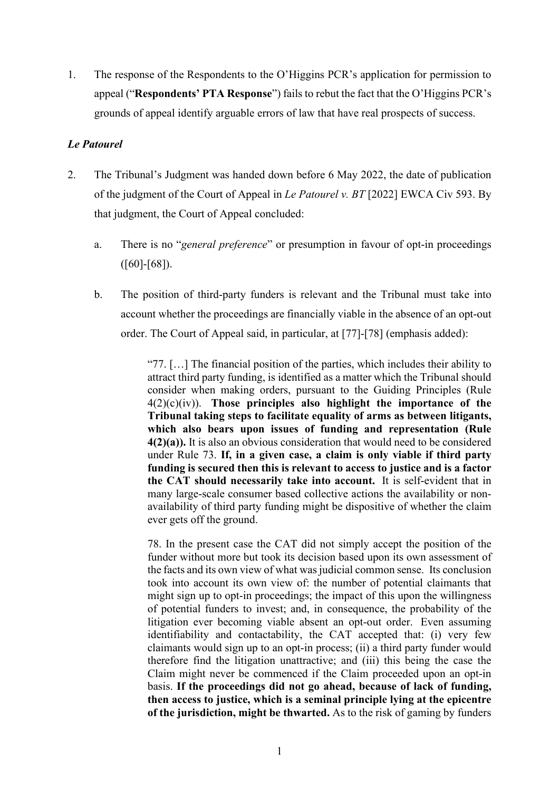1. The response of the Respondents to the O'Higgins PCR's application for permission to appeal ("**Respondents' PTA Response**") fails to rebut the fact that the O'Higgins PCR's grounds of appeal identify arguable errors of law that have real prospects of success.

# *Le Patourel*

- 2. The Tribunal's Judgment was handed down before 6 May 2022, the date of publication of the judgment of the Court of Appeal in *Le Patourel v. BT* [2022] EWCA Civ 593. By that judgment, the Court of Appeal concluded:
	- a. There is no "*general preference*" or presumption in favour of opt-in proceedings  $([60]$ -[68]).
	- b. The position of third-party funders is relevant and the Tribunal must take into account whether the proceedings are financially viable in the absence of an opt-out order. The Court of Appeal said, in particular, at [77]-[78] (emphasis added):

"77. […] The financial position of the parties, which includes their ability to attract third party funding, is identified as a matter which the Tribunal should consider when making orders, pursuant to the Guiding Principles (Rule 4(2)(c)(iv)). **Those principles also highlight the importance of the Tribunal taking steps to facilitate equality of arms as between litigants, which also bears upon issues of funding and representation (Rule 4(2)(a)).** It is also an obvious consideration that would need to be considered under Rule 73. **If, in a given case, a claim is only viable if third party funding is secured then this is relevant to access to justice and is a factor the CAT should necessarily take into account.** It is self-evident that in many large-scale consumer based collective actions the availability or nonavailability of third party funding might be dispositive of whether the claim ever gets off the ground.

78. In the present case the CAT did not simply accept the position of the funder without more but took its decision based upon its own assessment of the facts and its own view of what was judicial common sense. Its conclusion took into account its own view of: the number of potential claimants that might sign up to opt-in proceedings; the impact of this upon the willingness of potential funders to invest; and, in consequence, the probability of the litigation ever becoming viable absent an opt-out order. Even assuming identifiability and contactability, the CAT accepted that: (i) very few claimants would sign up to an opt-in process; (ii) a third party funder would therefore find the litigation unattractive; and (iii) this being the case the Claim might never be commenced if the Claim proceeded upon an opt-in basis. **If the proceedings did not go ahead, because of lack of funding, then access to justice, which is a seminal principle lying at the epicentre of the jurisdiction, might be thwarted.** As to the risk of gaming by funders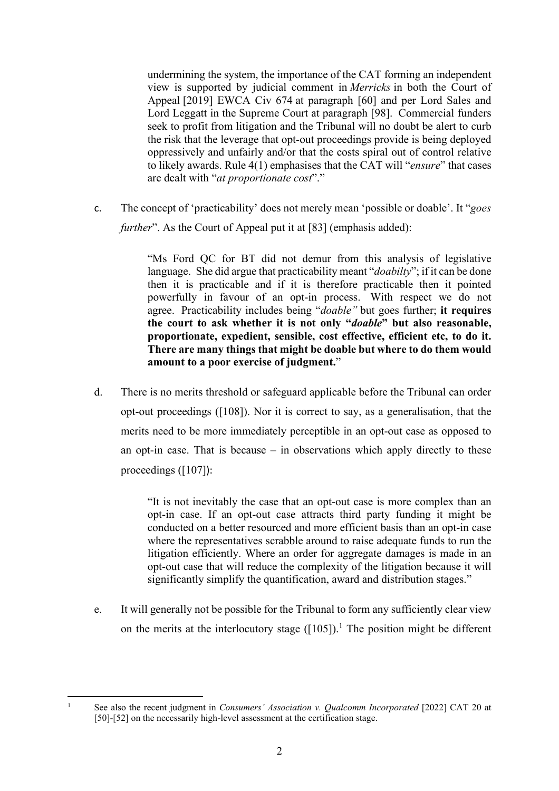undermining the system, the importance of the CAT forming an independent view is supported by judicial comment in *Merricks* in both the Court of Appeal [2019] EWCA Civ 674 at paragraph [60] and per Lord Sales and Lord Leggatt in the Supreme Court at paragraph [98]. Commercial funders seek to profit from litigation and the Tribunal will no doubt be alert to curb the risk that the leverage that opt-out proceedings provide is being deployed oppressively and unfairly and/or that the costs spiral out of control relative to likely awards. Rule 4(1) emphasises that the CAT will "*ensure*" that cases are dealt with "*at proportionate cost*"."

c. The concept of 'practicability' does not merely mean 'possible or doable'. It "*goes further*". As the Court of Appeal put it at [83] (emphasis added):

> "Ms Ford QC for BT did not demur from this analysis of legislative language. She did argue that practicability meant "*doabilty*"; if it can be done then it is practicable and if it is therefore practicable then it pointed powerfully in favour of an opt-in process. With respect we do not agree. Practicability includes being "*doable"* but goes further; **it requires the court to ask whether it is not only "***doable***" but also reasonable, proportionate, expedient, sensible, cost effective, efficient etc, to do it. There are many things that might be doable but where to do them would amount to a poor exercise of judgment.**"

d. There is no merits threshold or safeguard applicable before the Tribunal can order opt-out proceedings ([108]). Nor it is correct to say, as a generalisation, that the merits need to be more immediately perceptible in an opt-out case as opposed to an opt-in case. That is because – in observations which apply directly to these proceedings ([107]):

> "It is not inevitably the case that an opt-out case is more complex than an opt-in case. If an opt-out case attracts third party funding it might be conducted on a better resourced and more efficient basis than an opt-in case where the representatives scrabble around to raise adequate funds to run the litigation efficiently. Where an order for aggregate damages is made in an opt-out case that will reduce the complexity of the litigation because it will significantly simplify the quantification, award and distribution stages."

e. It will generally not be possible for the Tribunal to form any sufficiently clear view on the merits at the interlocutory stage  $([105])$ <sup>1</sup>. The position might be different

1

See also the recent judgment in *Consumers' Association v. Qualcomm Incorporated* [2022] CAT 20 at [50]-[52] on the necessarily high-level assessment at the certification stage.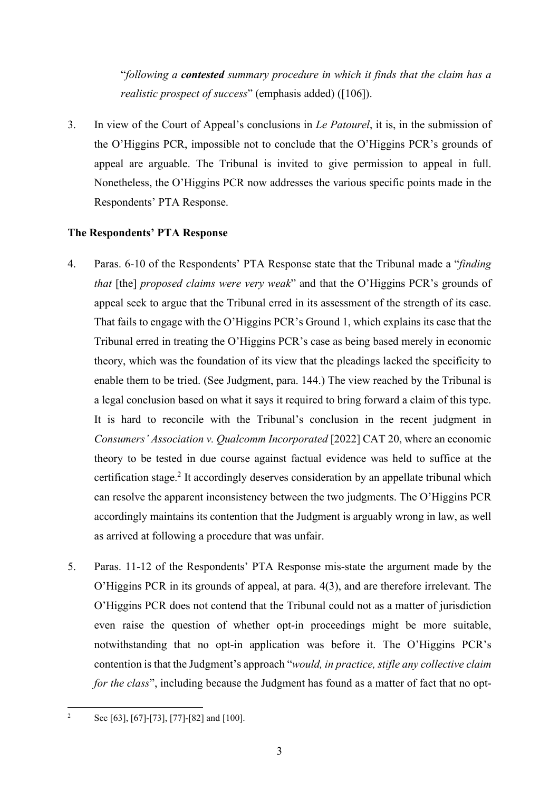"*following a contested summary procedure in which it finds that the claim has a realistic prospect of success*" (emphasis added) ([106]).

3. In view of the Court of Appeal's conclusions in *Le Patourel*, it is, in the submission of the O'Higgins PCR, impossible not to conclude that the O'Higgins PCR's grounds of appeal are arguable. The Tribunal is invited to give permission to appeal in full. Nonetheless, the O'Higgins PCR now addresses the various specific points made in the Respondents' PTA Response.

# **The Respondents' PTA Response**

- 4. Paras. 6-10 of the Respondents' PTA Response state that the Tribunal made a "*finding that* [the] *proposed claims were very weak*" and that the O'Higgins PCR's grounds of appeal seek to argue that the Tribunal erred in its assessment of the strength of its case. That fails to engage with the O'Higgins PCR's Ground 1, which explains its case that the Tribunal erred in treating the O'Higgins PCR's case as being based merely in economic theory, which was the foundation of its view that the pleadings lacked the specificity to enable them to be tried. (See Judgment, para. 144.) The view reached by the Tribunal is a legal conclusion based on what it says it required to bring forward a claim of this type. It is hard to reconcile with the Tribunal's conclusion in the recent judgment in *Consumers' Association v. Qualcomm Incorporated* [2022] CAT 20, where an economic theory to be tested in due course against factual evidence was held to suffice at the certification stage.<sup>2</sup> It accordingly deserves consideration by an appellate tribunal which can resolve the apparent inconsistency between the two judgments. The O'Higgins PCR accordingly maintains its contention that the Judgment is arguably wrong in law, as well as arrived at following a procedure that was unfair.
- 5. Paras. 11-12 of the Respondents' PTA Response mis-state the argument made by the O'Higgins PCR in its grounds of appeal, at para. 4(3), and are therefore irrelevant. The O'Higgins PCR does not contend that the Tribunal could not as a matter of jurisdiction even raise the question of whether opt-in proceedings might be more suitable, notwithstanding that no opt-in application was before it. The O'Higgins PCR's contention is that the Judgment's approach "*would, in practice, stifle any collective claim for the class*", including because the Judgment has found as a matter of fact that no opt-

 $\overline{2}$ See [63], [67]-[73], [77]-[82] and [100].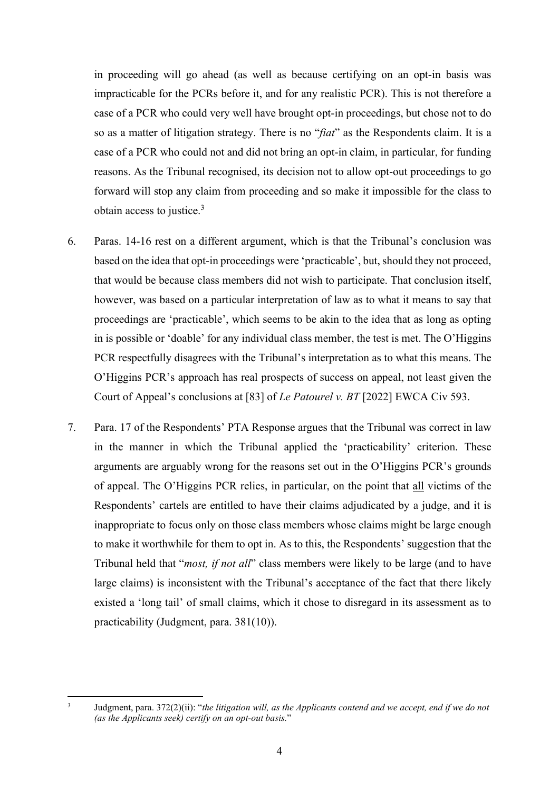in proceeding will go ahead (as well as because certifying on an opt-in basis was impracticable for the PCRs before it, and for any realistic PCR). This is not therefore a case of a PCR who could very well have brought opt-in proceedings, but chose not to do so as a matter of litigation strategy. There is no "*fiat*" as the Respondents claim. It is a case of a PCR who could not and did not bring an opt-in claim, in particular, for funding reasons. As the Tribunal recognised, its decision not to allow opt-out proceedings to go forward will stop any claim from proceeding and so make it impossible for the class to obtain access to justice.3

- 6. Paras. 14-16 rest on a different argument, which is that the Tribunal's conclusion was based on the idea that opt-in proceedings were 'practicable', but, should they not proceed, that would be because class members did not wish to participate. That conclusion itself, however, was based on a particular interpretation of law as to what it means to say that proceedings are 'practicable', which seems to be akin to the idea that as long as opting in is possible or 'doable' for any individual class member, the test is met. The O'Higgins PCR respectfully disagrees with the Tribunal's interpretation as to what this means. The O'Higgins PCR's approach has real prospects of success on appeal, not least given the Court of Appeal's conclusions at [83] of *Le Patourel v. BT* [2022] EWCA Civ 593.
- 7. Para. 17 of the Respondents' PTA Response argues that the Tribunal was correct in law in the manner in which the Tribunal applied the 'practicability' criterion. These arguments are arguably wrong for the reasons set out in the O'Higgins PCR's grounds of appeal. The O'Higgins PCR relies, in particular, on the point that all victims of the Respondents' cartels are entitled to have their claims adjudicated by a judge, and it is inappropriate to focus only on those class members whose claims might be large enough to make it worthwhile for them to opt in. As to this, the Respondents' suggestion that the Tribunal held that "*most, if not all*" class members were likely to be large (and to have large claims) is inconsistent with the Tribunal's acceptance of the fact that there likely existed a 'long tail' of small claims, which it chose to disregard in its assessment as to practicability (Judgment, para. 381(10)).

<sup>3</sup> Judgment, para. 372(2)(ii): "*the litigation will, as the Applicants contend and we accept, end if we do not (as the Applicants seek) certify on an opt-out basis.*"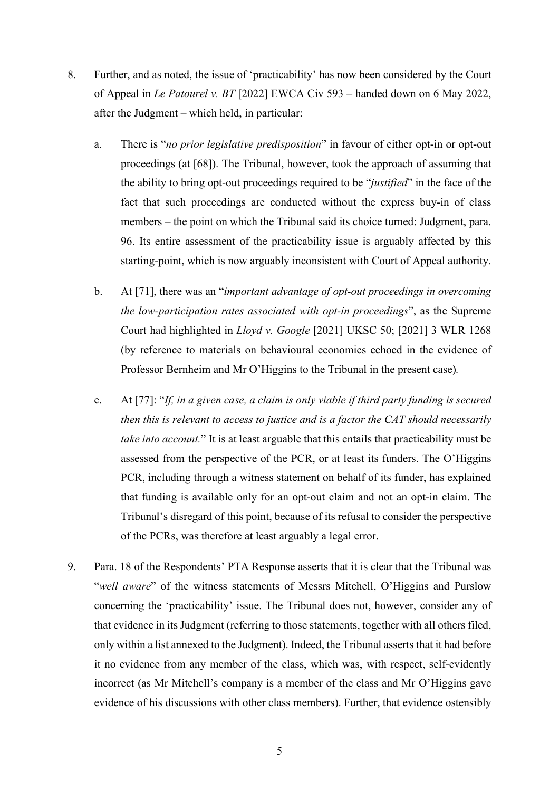- 8. Further, and as noted, the issue of 'practicability' has now been considered by the Court of Appeal in *Le Patourel v. BT* [2022] EWCA Civ 593 – handed down on 6 May 2022, after the Judgment – which held, in particular:
	- a. There is "*no prior legislative predisposition*" in favour of either opt-in or opt-out proceedings (at [68]). The Tribunal, however, took the approach of assuming that the ability to bring opt-out proceedings required to be "*justified*" in the face of the fact that such proceedings are conducted without the express buy-in of class members – the point on which the Tribunal said its choice turned: Judgment, para. 96. Its entire assessment of the practicability issue is arguably affected by this starting-point, which is now arguably inconsistent with Court of Appeal authority.
	- b. At [71], there was an "*important advantage of opt-out proceedings in overcoming the low-participation rates associated with opt-in proceedings*", as the Supreme Court had highlighted in *Lloyd v. Google* [2021] UKSC 50; [2021] 3 WLR 1268 (by reference to materials on behavioural economics echoed in the evidence of Professor Bernheim and Mr O'Higgins to the Tribunal in the present case)*.*
	- c. At [77]: "*If, in a given case, a claim is only viable if third party funding is secured then this is relevant to access to justice and is a factor the CAT should necessarily take into account.*" It is at least arguable that this entails that practicability must be assessed from the perspective of the PCR, or at least its funders. The O'Higgins PCR, including through a witness statement on behalf of its funder, has explained that funding is available only for an opt-out claim and not an opt-in claim. The Tribunal's disregard of this point, because of its refusal to consider the perspective of the PCRs, was therefore at least arguably a legal error.
- 9. Para. 18 of the Respondents' PTA Response asserts that it is clear that the Tribunal was "*well aware*" of the witness statements of Messrs Mitchell, O'Higgins and Purslow concerning the 'practicability' issue. The Tribunal does not, however, consider any of that evidence in its Judgment (referring to those statements, together with all others filed, only within a list annexed to the Judgment). Indeed, the Tribunal asserts that it had before it no evidence from any member of the class, which was, with respect, self-evidently incorrect (as Mr Mitchell's company is a member of the class and Mr O'Higgins gave evidence of his discussions with other class members). Further, that evidence ostensibly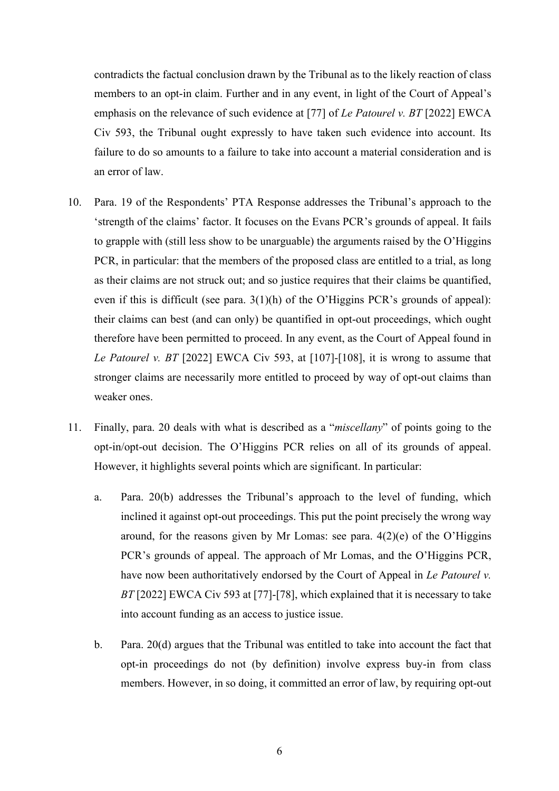contradicts the factual conclusion drawn by the Tribunal as to the likely reaction of class members to an opt-in claim. Further and in any event, in light of the Court of Appeal's emphasis on the relevance of such evidence at [77] of *Le Patourel v. BT* [2022] EWCA Civ 593, the Tribunal ought expressly to have taken such evidence into account. Its failure to do so amounts to a failure to take into account a material consideration and is an error of law.

- 10. Para. 19 of the Respondents' PTA Response addresses the Tribunal's approach to the 'strength of the claims' factor. It focuses on the Evans PCR's grounds of appeal. It fails to grapple with (still less show to be unarguable) the arguments raised by the O'Higgins PCR, in particular: that the members of the proposed class are entitled to a trial, as long as their claims are not struck out; and so justice requires that their claims be quantified, even if this is difficult (see para. 3(1)(h) of the O'Higgins PCR's grounds of appeal): their claims can best (and can only) be quantified in opt-out proceedings, which ought therefore have been permitted to proceed. In any event, as the Court of Appeal found in *Le Patourel v. BT* [2022] EWCA Civ 593, at [107]-[108], it is wrong to assume that stronger claims are necessarily more entitled to proceed by way of opt-out claims than weaker ones.
- 11. Finally, para. 20 deals with what is described as a "*miscellany*" of points going to the opt-in/opt-out decision. The O'Higgins PCR relies on all of its grounds of appeal. However, it highlights several points which are significant. In particular:
	- a. Para. 20(b) addresses the Tribunal's approach to the level of funding, which inclined it against opt-out proceedings. This put the point precisely the wrong way around, for the reasons given by Mr Lomas: see para.  $4(2)(e)$  of the O'Higgins PCR's grounds of appeal. The approach of Mr Lomas, and the O'Higgins PCR, have now been authoritatively endorsed by the Court of Appeal in *Le Patourel v. BT* [2022] EWCA Civ 593 at [77]-[78], which explained that it is necessary to take into account funding as an access to justice issue.
	- b. Para. 20(d) argues that the Tribunal was entitled to take into account the fact that opt-in proceedings do not (by definition) involve express buy-in from class members. However, in so doing, it committed an error of law, by requiring opt-out